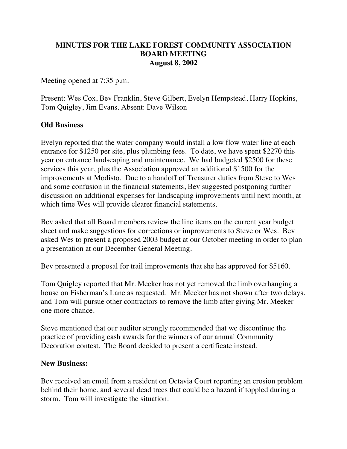## **MINUTES FOR THE LAKE FOREST COMMUNITY ASSOCIATION BOARD MEETING August 8, 2002**

Meeting opened at 7:35 p.m.

Present: Wes Cox, Bev Franklin, Steve Gilbert, Evelyn Hempstead, Harry Hopkins, Tom Quigley, Jim Evans. Absent: Dave Wilson

## **Old Business**

Evelyn reported that the water company would install a low flow water line at each entrance for \$1250 per site, plus plumbing fees. To date, we have spent \$2270 this year on entrance landscaping and maintenance. We had budgeted \$2500 for these services this year, plus the Association approved an additional \$1500 for the improvements at Modisto. Due to a handoff of Treasurer duties from Steve to Wes and some confusion in the financial statements, Bev suggested postponing further discussion on additional expenses for landscaping improvements until next month, at which time Wes will provide clearer financial statements.

Bev asked that all Board members review the line items on the current year budget sheet and make suggestions for corrections or improvements to Steve or Wes. Bev asked Wes to present a proposed 2003 budget at our October meeting in order to plan a presentation at our December General Meeting.

Bev presented a proposal for trail improvements that she has approved for \$5160.

Tom Quigley reported that Mr. Meeker has not yet removed the limb overhanging a house on Fisherman's Lane as requested. Mr. Meeker has not shown after two delays, and Tom will pursue other contractors to remove the limb after giving Mr. Meeker one more chance.

Steve mentioned that our auditor strongly recommended that we discontinue the practice of providing cash awards for the winners of our annual Community Decoration contest. The Board decided to present a certificate instead.

## **New Business:**

Bev received an email from a resident on Octavia Court reporting an erosion problem behind their home, and several dead trees that could be a hazard if toppled during a storm. Tom will investigate the situation.